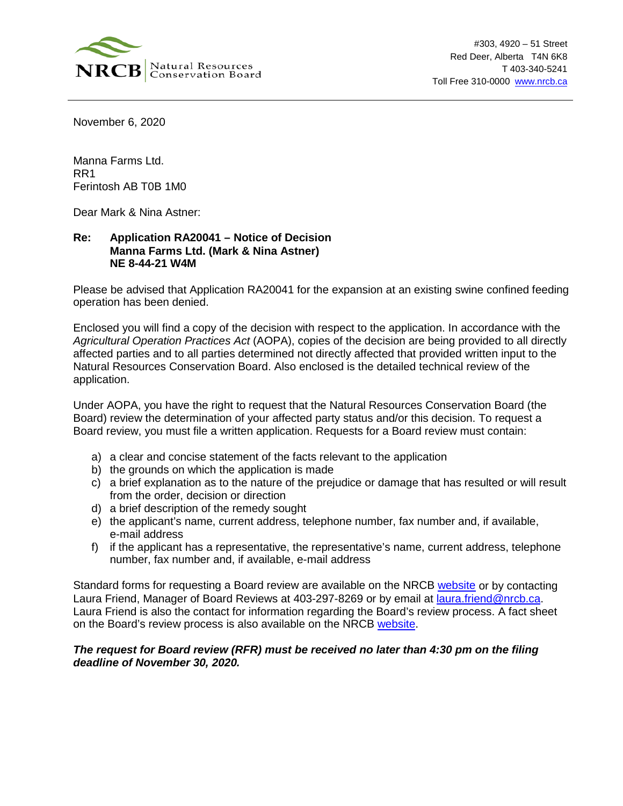

November 6, 2020

Manna Farms Ltd. RR1 Ferintosh AB T0B 1M0

Dear Mark & Nina Astner:

## **Re: Application RA20041 – Notice of Decision Manna Farms Ltd. (Mark & Nina Astner) NE 8-44-21 W4M**

Please be advised that Application RA20041 for the expansion at an existing swine confined feeding operation has been denied.

Enclosed you will find a copy of the decision with respect to the application. In accordance with the *Agricultural Operation Practices Act* (AOPA), copies of the decision are being provided to all directly affected parties and to all parties determined not directly affected that provided written input to the Natural Resources Conservation Board. Also enclosed is the detailed technical review of the application.

Under AOPA, you have the right to request that the Natural Resources Conservation Board (the Board) review the determination of your affected party status and/or this decision. To request a Board review, you must file a written application. Requests for a Board review must contain:

- a) a clear and concise statement of the facts relevant to the application
- b) the grounds on which the application is made
- c) a brief explanation as to the nature of the prejudice or damage that has resulted or will result from the order, decision or direction
- d) a brief description of the remedy sought
- e) the applicant's name, current address, telephone number, fax number and, if available, e-mail address
- f) if the applicant has a representative, the representative's name, current address, telephone number, fax number and, if available, e-mail address

Standard forms for requesting a Board review are available on the NRCB [website](https://www.nrcb.ca/confined-feeding-operations/board-reviews-court-decisions-revamp/fact-sheets-and-forms) or by contacting Laura Friend, Manager of Board Reviews at 403-297-8269 or by email at [laura.friend@nrcb.ca.](mailto:laura.friend@nrcb.ca) Laura Friend is also the contact for information regarding the Board's review process. A fact sheet on the Board's review process is also available on the NRCB [website.](https://www.nrcb.ca/public/download/files/97583)

## *The request for Board review (RFR) must be received no later than 4:30 pm on the filing deadline of November 30, 2020.*